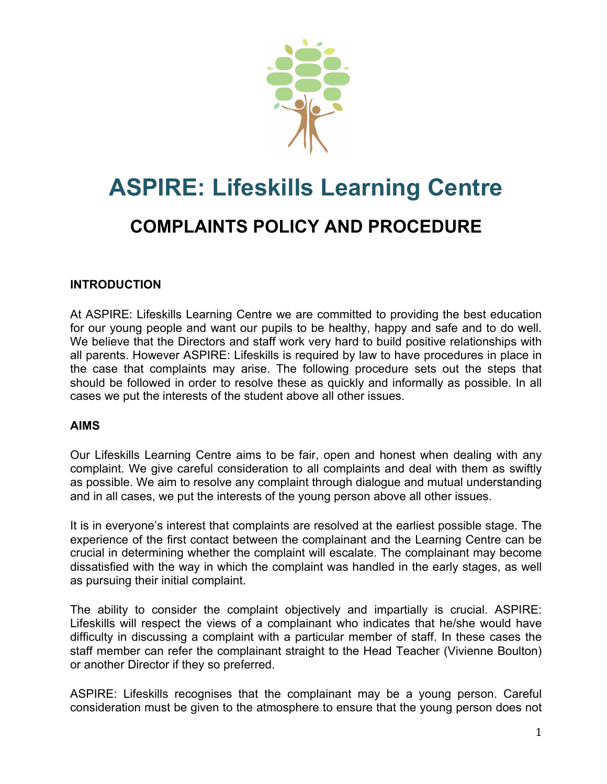

# **ASPIRE: Lifeskills Learning Centre COMPLAINTS POLICY AND PROCEDURE**

## **INTRODUCTION**

At ASPIRE: Lifeskills Learning Centre we are committed to providing the best education for our young people and want our pupils to be healthy, happy and safe and to do well. We believe that the Directors and staff work very hard to build positive relationships with all parents. However ASPIRE: Lifeskills is required by law to have procedures in place in the case that complaints may arise. The following procedure sets out the steps that should be followed in order to resolve these as quickly and informally as possible. In all cases we put the interests of the student above all other issues.

#### **AIMS**

Our Lifeskills Learning Centre aims to be fair, open and honest when dealing with any complaint. We give careful consideration to all complaints and deal with them as swiftly as possible. We aim to resolve any complaint through dialogue and mutual understanding and in all cases, we put the interests of the young person above all other issues.

It is in everyone's interest that complaints are resolved at the earliest possible stage. The experience of the first contact between the complainant and the Learning Centre can be crucial in determining whether the complaint will escalate. The complainant may become dissatisfied with the way in which the complaint was handled in the early stages, as well as pursuing their initial complaint.

The ability to consider the complaint objectively and impartially is crucial. ASPIRE: Lifeskills will respect the views of a complainant who indicates that he/she would have difficulty in discussing a complaint with a particular member of staff. In these cases the staff member can refer the complainant straight to the Head Teacher (Vivienne Boulton) or another Director if they so preferred.

ASPIRE: Lifeskills recognises that the complainant may be a young person. Careful consideration must be given to the atmosphere to ensure that the young person does not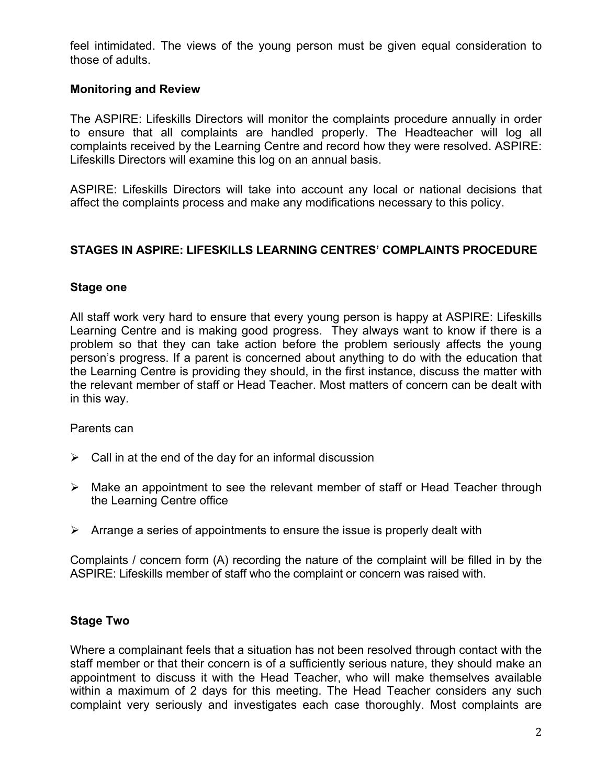feel intimidated. The views of the young person must be given equal consideration to those of adults.

#### **Monitoring and Review**

The ASPIRE: Lifeskills Directors will monitor the complaints procedure annually in order to ensure that all complaints are handled properly. The Headteacher will log all complaints received by the Learning Centre and record how they were resolved. ASPIRE: Lifeskills Directors will examine this log on an annual basis.

ASPIRE: Lifeskills Directors will take into account any local or national decisions that affect the complaints process and make any modifications necessary to this policy.

## **STAGES IN ASPIRE: LIFESKILLS LEARNING CENTRES' COMPLAINTS PROCEDURE**

#### **Stage one**

All staff work very hard to ensure that every young person is happy at ASPIRE: Lifeskills Learning Centre and is making good progress. They always want to know if there is a problem so that they can take action before the problem seriously affects the young person's progress. If a parent is concerned about anything to do with the education that the Learning Centre is providing they should, in the first instance, discuss the matter with the relevant member of staff or Head Teacher. Most matters of concern can be dealt with in this way.

#### Parents can

- $\triangleright$  Call in at the end of the day for an informal discussion
- $\triangleright$  Make an appointment to see the relevant member of staff or Head Teacher through the Learning Centre office
- $\triangleright$  Arrange a series of appointments to ensure the issue is properly dealt with

Complaints / concern form (A) recording the nature of the complaint will be filled in by the ASPIRE: Lifeskills member of staff who the complaint or concern was raised with.

#### **Stage Two**

Where a complainant feels that a situation has not been resolved through contact with the staff member or that their concern is of a sufficiently serious nature, they should make an appointment to discuss it with the Head Teacher, who will make themselves available within a maximum of 2 days for this meeting. The Head Teacher considers any such complaint very seriously and investigates each case thoroughly. Most complaints are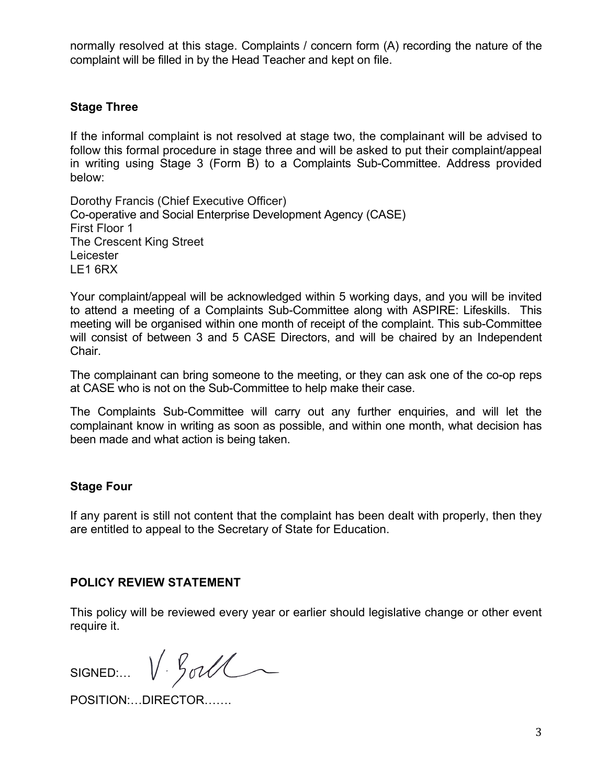normally resolved at this stage. Complaints / concern form (A) recording the nature of the complaint will be filled in by the Head Teacher and kept on file.

## **Stage Three**

If the informal complaint is not resolved at stage two, the complainant will be advised to follow this formal procedure in stage three and will be asked to put their complaint/appeal in writing using Stage 3 (Form B) to a Complaints Sub-Committee. Address provided below:

Dorothy Francis (Chief Executive Officer) Co-operative and Social Enterprise Development Agency (CASE) First Floor 1 The Crescent King Street Leicester LE1 6RX

Your complaint/appeal will be acknowledged within 5 working days, and you will be invited to attend a meeting of a Complaints Sub-Committee along with ASPIRE: Lifeskills. This meeting will be organised within one month of receipt of the complaint. This sub-Committee will consist of between 3 and 5 CASE Directors, and will be chaired by an Independent **Chair** 

The complainant can bring someone to the meeting, or they can ask one of the co-op reps at CASE who is not on the Sub-Committee to help make their case.

The Complaints Sub-Committee will carry out any further enquiries, and will let the complainant know in writing as soon as possible, and within one month, what decision has been made and what action is being taken.

#### **Stage Four**

If any parent is still not content that the complaint has been dealt with properly, then they are entitled to appeal to the Secretary of State for Education.

## **POLICY REVIEW STATEMENT**

This policy will be reviewed every year or earlier should legislative change or other event require it.

SIGNED:…

V. Goll

POSITION:…DIRECTOR…….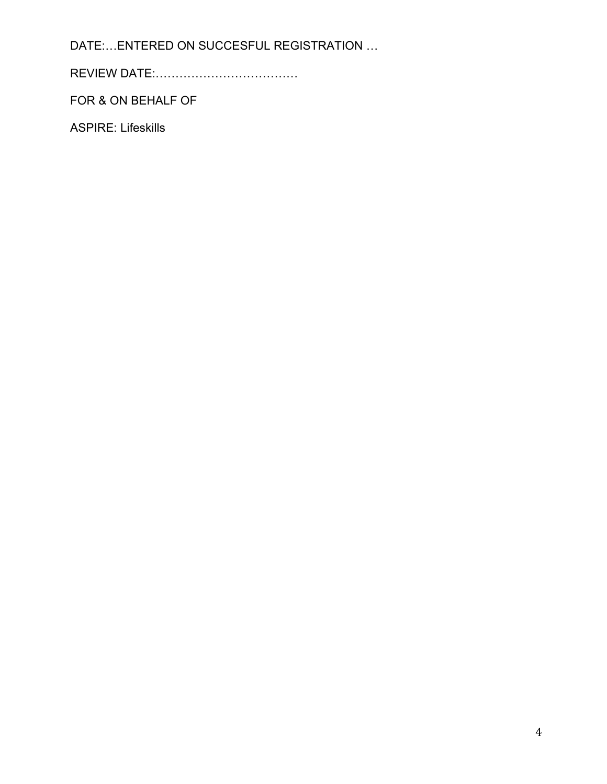DATE:…ENTERED ON SUCCESFUL REGISTRATION …

REVIEW DATE:………………………………

FOR & ON BEHALF OF

ASPIRE: Lifeskills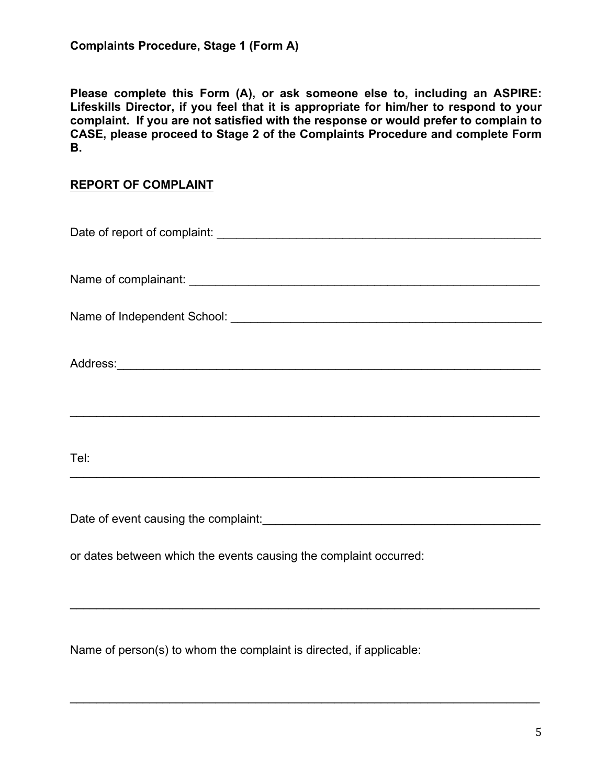**Please complete this Form (A), or ask someone else to, including an ASPIRE: Lifeskills Director, if you feel that it is appropriate for him/her to respond to your complaint. If you are not satisfied with the response or would prefer to complain to CASE, please proceed to Stage 2 of the Complaints Procedure and complete Form B.**

### **REPORT OF COMPLAINT**

| Tel:                                                                      |
|---------------------------------------------------------------------------|
|                                                                           |
| Date of event causing the complaint: Date of event causing the complaint: |
| or dates between which the events causing the complaint occurred:         |

 $\_$ 

 $\_$ 

Name of person(s) to whom the complaint is directed, if applicable: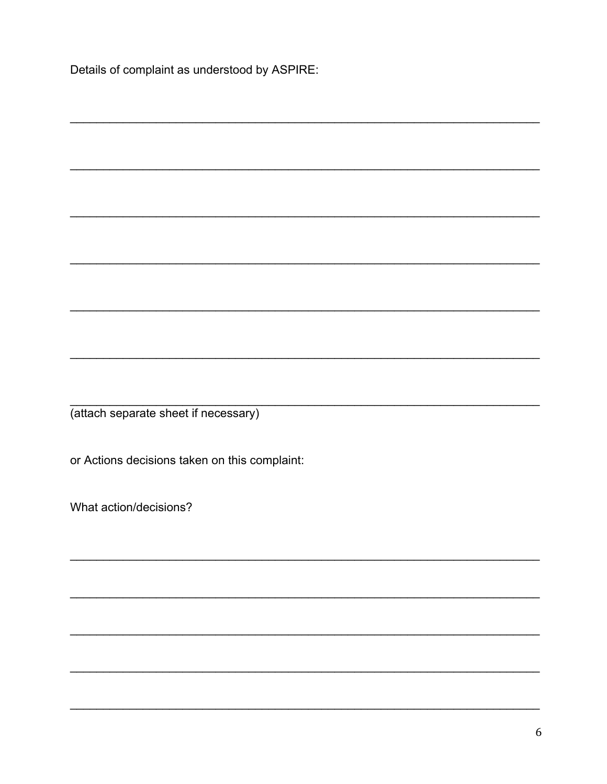Details of complaint as understood by ASPIRE:

(attach separate sheet if necessary)

or Actions decisions taken on this complaint:

What action/decisions?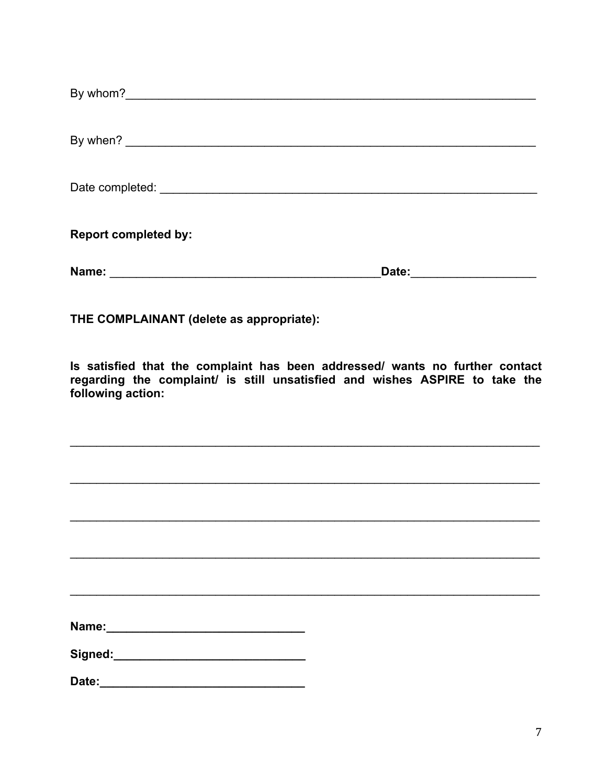| <b>Report completed by:</b>                                                                                                                                                      |  |  |  |
|----------------------------------------------------------------------------------------------------------------------------------------------------------------------------------|--|--|--|
| _Date:_______________________                                                                                                                                                    |  |  |  |
| THE COMPLAINANT (delete as appropriate):                                                                                                                                         |  |  |  |
| Is satisfied that the complaint has been addressed/ wants no further contact<br>regarding the complaint/ is still unsatisfied and wishes ASPIRE to take the<br>following action: |  |  |  |
|                                                                                                                                                                                  |  |  |  |

| Name: |  |  |  |  |
|-------|--|--|--|--|
|       |  |  |  |  |
|       |  |  |  |  |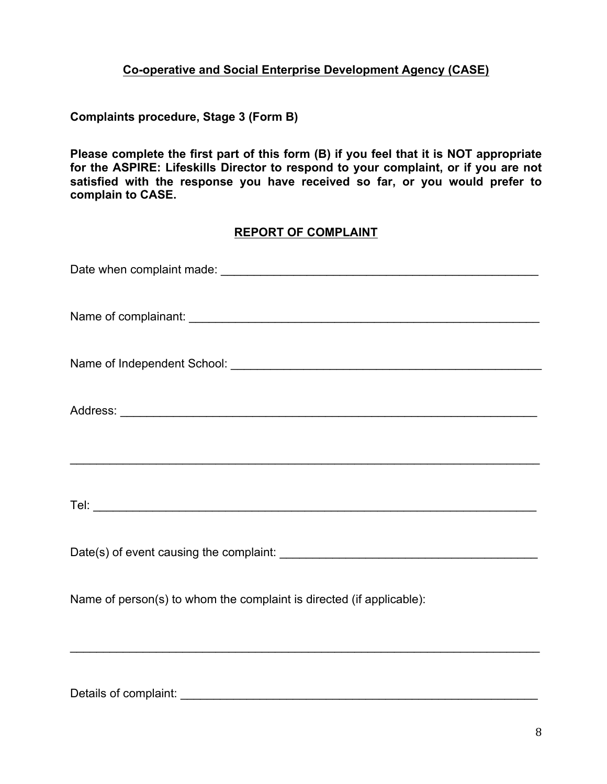## **Co-operative and Social Enterprise Development Agency (CASE)**

**Complaints procedure, Stage 3 (Form B)**

**Please complete the first part of this form (B) if you feel that it is NOT appropriate for the ASPIRE: Lifeskills Director to respond to your complaint, or if you are not satisfied with the response you have received so far, or you would prefer to complain to CASE.**

## **REPORT OF COMPLAINT**

| Name of person(s) to whom the complaint is directed (if applicable): |
|----------------------------------------------------------------------|
|                                                                      |

Details of complaint: \_\_\_\_\_\_\_\_\_\_\_\_\_\_\_\_\_\_\_\_\_\_\_\_\_\_\_\_\_\_\_\_\_\_\_\_\_\_\_\_\_\_\_\_\_\_\_\_\_\_\_\_\_\_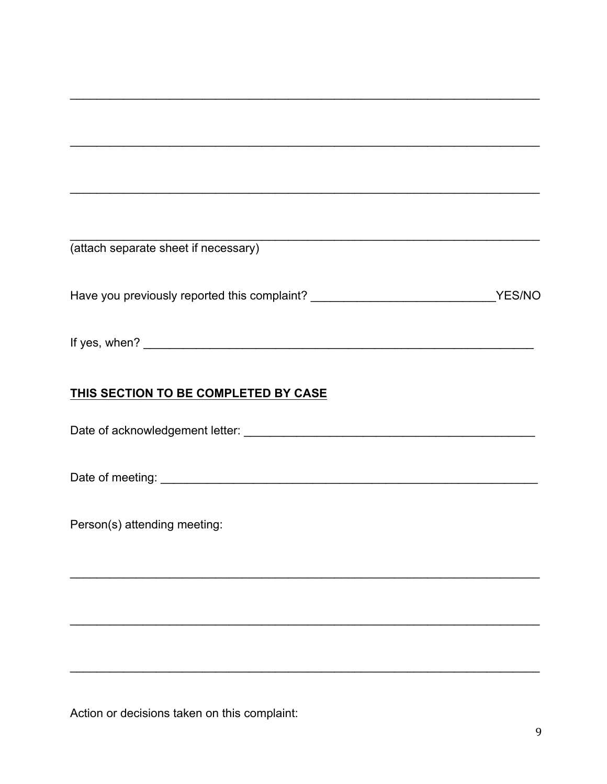| (attach separate sheet if necessary)                                             |        |
|----------------------------------------------------------------------------------|--------|
| Have you previously reported this complaint? ___________________________________ | YES/NO |
|                                                                                  |        |
| THIS SECTION TO BE COMPLETED BY CASE                                             |        |
|                                                                                  |        |
|                                                                                  |        |
| Person(s) attending meeting:                                                     |        |
|                                                                                  |        |
|                                                                                  |        |

Action or decisions taken on this complaint: